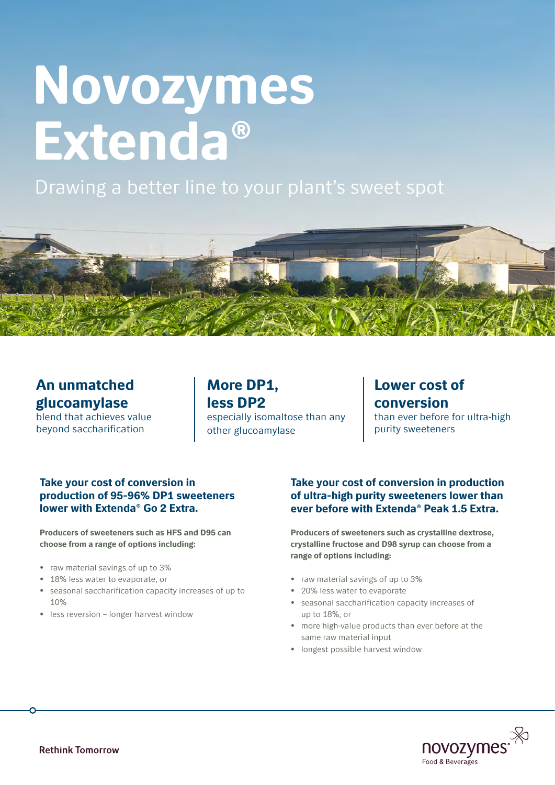# Novozymes Extenda®

# Drawing a better line to your plant's sweet spot



# An unmatched glucoamylase

blend that achieves value beyond saccharification

More DP1, less DP2 especially isomaltose than any other glucoamylase

# Lower cost of conversion than ever before for ultra-high

purity sweeteners

# Take your cost of conversion in production of 95-96% DP1 sweeteners lower with Extenda® Go 2 Extra.

Producers of sweeteners such as HFS and D95 can choose from a range of options including:

- raw material savings of up to 3%
- 18% less water to evaporate, or
- seasonal saccharification capacity increases of up to 10%
- less reversion longer harvest window

## Take your cost of conversion in production of ultra-high purity sweeteners lower than ever before with Extenda® Peak 1.5 Extra.

Producers of sweeteners such as crystalline dextrose, crystalline fructose and D98 syrup can choose from a range of options including:

- raw material savings of up to 3%
- 20% less water to evaporate
- seasonal saccharification capacity increases of up to 18%, or
- more high-value products than ever before at the same raw material input
- longest possible harvest window